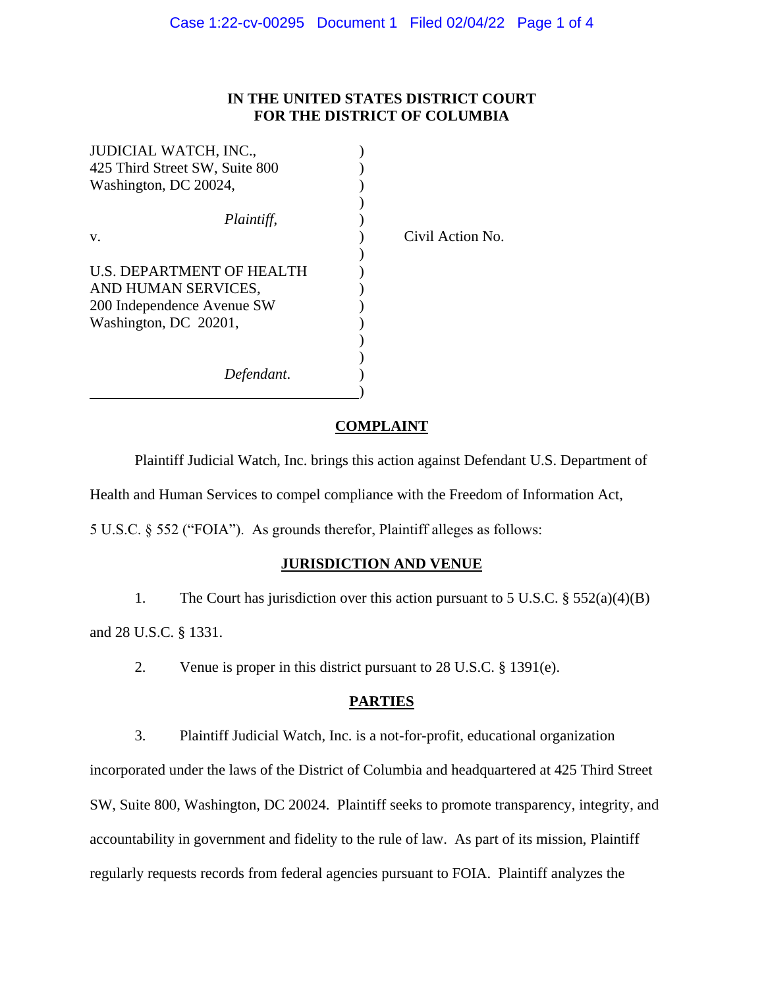# **IN THE UNITED STATES DISTRICT COURT FOR THE DISTRICT OF COLUMBIA**

Action No.

| JUDICIAL WATCH, INC.,          |          |
|--------------------------------|----------|
| 425 Third Street SW, Suite 800 |          |
| Washington, DC 20024,          |          |
|                                |          |
| Plaintiff,                     |          |
| V.                             | $C$ ivil |
|                                |          |
| U.S. DEPARTMENT OF HEALTH      |          |
| AND HUMAN SERVICES,            |          |
| 200 Independence Avenue SW     |          |
| Washington, DC 20201,          |          |
|                                |          |
|                                |          |
| Defendant.                     |          |
|                                |          |

#### **COMPLAINT**

Plaintiff Judicial Watch, Inc. brings this action against Defendant U.S. Department of Health and Human Services to compel compliance with the Freedom of Information Act,

5 U.S.C. § 552 ("FOIA"). As grounds therefor, Plaintiff alleges as follows:

#### **JURISDICTION AND VENUE**

1. The Court has jurisdiction over this action pursuant to 5 U.S.C. § 552(a)(4)(B) and 28 U.S.C. § 1331.

2. Venue is proper in this district pursuant to 28 U.S.C. § 1391(e).

# **PARTIES**

3. Plaintiff Judicial Watch, Inc. is a not-for-profit, educational organization incorporated under the laws of the District of Columbia and headquartered at 425 Third Street SW, Suite 800, Washington, DC 20024. Plaintiff seeks to promote transparency, integrity, and accountability in government and fidelity to the rule of law. As part of its mission, Plaintiff regularly requests records from federal agencies pursuant to FOIA. Plaintiff analyzes the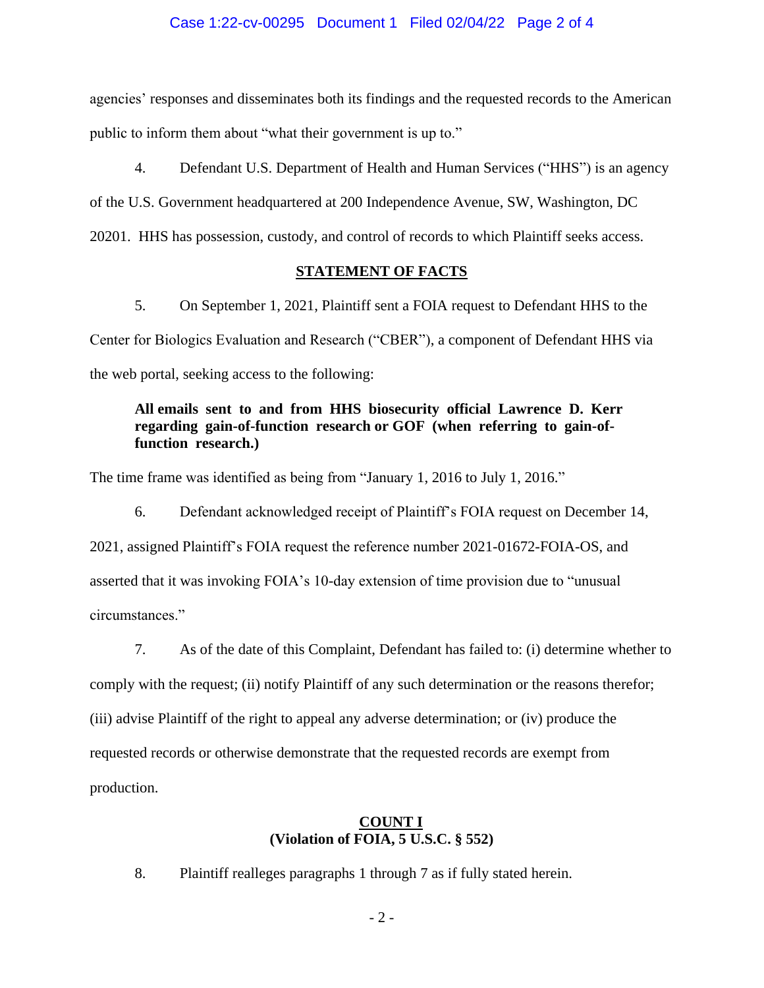#### Case 1:22-cv-00295 Document 1 Filed 02/04/22 Page 2 of 4

agencies' responses and disseminates both its findings and the requested records to the American public to inform them about "what their government is up to."

4. Defendant U.S. Department of Health and Human Services ("HHS") is an agency of the U.S. Government headquartered at 200 Independence Avenue, SW, Washington, DC 20201. HHS has possession, custody, and control of records to which Plaintiff seeks access.

## **STATEMENT OF FACTS**

5. On September 1, 2021, Plaintiff sent a FOIA request to Defendant HHS to the Center for Biologics Evaluation and Research ("CBER"), a component of Defendant HHS via the web portal, seeking access to the following:

# **All emails sent to and from HHS biosecurity official Lawrence D. Kerr regarding gain-of-function research or GOF (when referring to gain-offunction research.)**

The time frame was identified as being from "January 1, 2016 to July 1, 2016."

6. Defendant acknowledged receipt of Plaintiff's FOIA request on December 14, 2021, assigned Plaintiff's FOIA request the reference number 2021-01672-FOIA-OS, and asserted that it was invoking FOIA's 10-day extension of time provision due to "unusual circumstances."

7. As of the date of this Complaint, Defendant has failed to: (i) determine whether to comply with the request; (ii) notify Plaintiff of any such determination or the reasons therefor; (iii) advise Plaintiff of the right to appeal any adverse determination; or (iv) produce the requested records or otherwise demonstrate that the requested records are exempt from production.

## **COUNT I (Violation of FOIA, 5 U.S.C. § 552)**

8. Plaintiff realleges paragraphs 1 through 7 as if fully stated herein.

- 2 -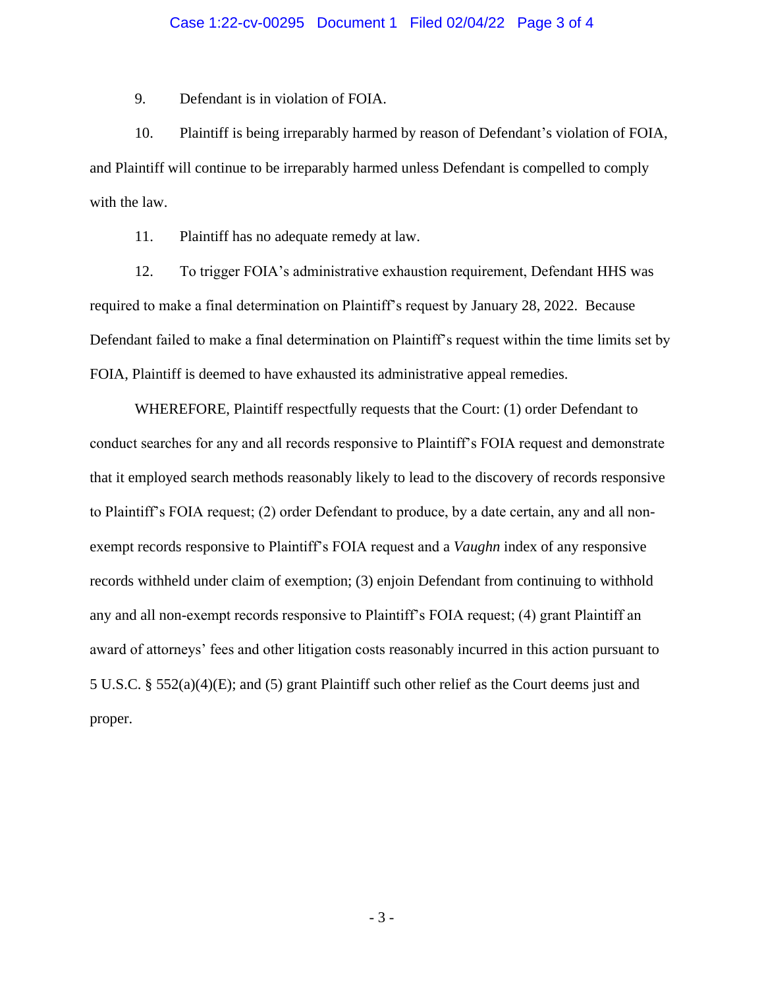#### Case 1:22-cv-00295 Document 1 Filed 02/04/22 Page 3 of 4

9. Defendant is in violation of FOIA.

10. Plaintiff is being irreparably harmed by reason of Defendant's violation of FOIA, and Plaintiff will continue to be irreparably harmed unless Defendant is compelled to comply with the law.

11. Plaintiff has no adequate remedy at law.

12. To trigger FOIA's administrative exhaustion requirement, Defendant HHS was required to make a final determination on Plaintiff's request by January 28, 2022. Because Defendant failed to make a final determination on Plaintiff's request within the time limits set by FOIA, Plaintiff is deemed to have exhausted its administrative appeal remedies.

WHEREFORE, Plaintiff respectfully requests that the Court: (1) order Defendant to conduct searches for any and all records responsive to Plaintiff's FOIA request and demonstrate that it employed search methods reasonably likely to lead to the discovery of records responsive to Plaintiff's FOIA request; (2) order Defendant to produce, by a date certain, any and all nonexempt records responsive to Plaintiff's FOIA request and a *Vaughn* index of any responsive records withheld under claim of exemption; (3) enjoin Defendant from continuing to withhold any and all non-exempt records responsive to Plaintiff's FOIA request; (4) grant Plaintiff an award of attorneys' fees and other litigation costs reasonably incurred in this action pursuant to 5 U.S.C. § 552(a)(4)(E); and (5) grant Plaintiff such other relief as the Court deems just and proper.

- 3 -